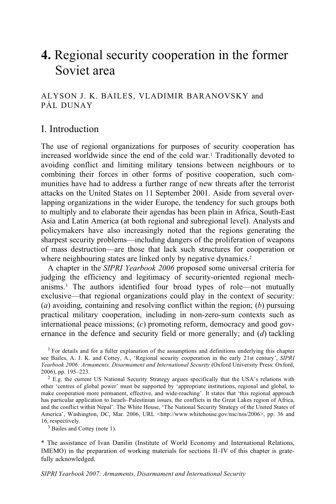# **4.** Regional security cooperation in the former Soviet area

# ALYSON J. K. BAILES, VLADIMIR BARANOVSKY and PÁL DUNAY

# I. Introduction

The use of regional organizations for purposes of security cooperation has increased worldwide since the end of the cold war.1 Traditionally devoted to avoiding conflict and limiting military tensions between neighbours or to combining their forces in other forms of positive cooperation, such communities have had to address a further range of new threats after the terrorist attacks on the United States on 11 September 2001. Aside from several overlapping organizations in the wider Europe, the tendency for such groups both to multiply and to elaborate their agendas has been plain in Africa, South-East Asia and Latin America (at both regional and subregional level). Analysts and policymakers have also increasingly noted that the regions generating the sharpest security problems—including dangers of the proliferation of weapons of mass destruction—are those that lack such structures for cooperation or where neighbouring states are linked only by negative dynamics.<sup>2</sup>

A chapter in the *SIPRI Yearbook 2006* proposed some universal criteria for judging the efficiency and legitimacy of security-oriented regional mechanisms.3 The authors identified four broad types of role—not mutually exclusive—that regional organizations could play in the context of security: (*a*) avoiding, containing and resolving conflict within the region; (*b*) pursuing practical military cooperation, including in non-zero-sum contexts such as international peace missions; (*c*) promoting reform, democracy and good governance in the defence and security field or more generally; and (*d*) tackling

3 Bailes and Cottey (note 1).

\* The assistance of Ivan Danilin (Institute of World Economy and International Relations, IMEMO) in the preparation of working materials for sections II–IV of this chapter is gratefully acknowledged.

<sup>&</sup>lt;sup>1</sup> For details and for a fuller explanation of the assumptions and definitions underlying this chapter see Bailes, A. J. K. and Cottey, A., 'Regional security cooperation in the early 21st century', *SIPRI Yearbook 2006: Armaments, Disarmament and International Security* (Oxford University Press: Oxford, 2006), pp. 195–223.<br><sup>2</sup> E.g. the current US National Security Strategy argues specifically that the USA's relations with

other 'centres of global power' must be supported by 'appropriate institutions, regional and global, to make cooperation more permanent, effective, and wide-reaching'. It states that 'this regional approach has particular application to Israeli–Palestinian issues, the conflicts in the Great Lakes region of Africa, and the conflict within Nepal'. The White House, 'The National Security Strategy of the United States of America', Washington, DC, Mar. 2006, URL <http://www.whitehouse.gov/nsc/nss/2006>, pp. 36 and 16, respectively.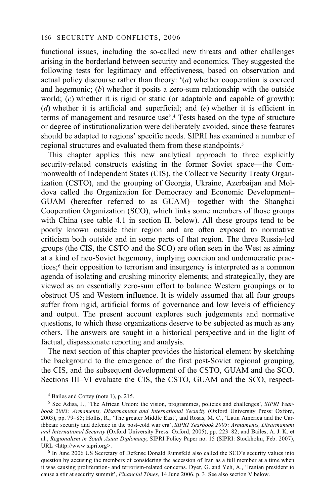functional issues, including the so-called new threats and other challenges arising in the borderland between security and economics. They suggested the following tests for legitimacy and effectiveness, based on observation and actual policy discourse rather than theory: '(*a*) whether cooperation is coerced and hegemonic; (*b*) whether it posits a zero-sum relationship with the outside world; (*c*) whether it is rigid or static (or adaptable and capable of growth); (*d*) whether it is artificial and superficial; and (*e*) whether it is efficient in terms of management and resource use'.4 Tests based on the type of structure or degree of institutionalization were deliberately avoided, since these features should be adapted to regions' specific needs. SIPRI has examined a number of regional structures and evaluated them from these standpoints.<sup>5</sup>

This chapter applies this new analytical approach to three explicitly security-related constructs existing in the former Soviet space—the Commonwealth of Independent States (CIS), the Collective Security Treaty Organization (CSTO), and the grouping of Georgia, Ukraine, Azerbaijan and Moldova called the Organization for Democracy and Economic Development– GUAM (hereafter referred to as GUAM)—together with the Shanghai Cooperation Organization (SCO), which links some members of those groups with China (see table 4.1 in section II, below). All these groups tend to be poorly known outside their region and are often exposed to normative criticism both outside and in some parts of that region. The three Russia-led groups (the CIS, the CSTO and the SCO) are often seen in the West as aiming at a kind of neo-Soviet hegemony, implying coercion and undemocratic practices;6 their opposition to terrorism and insurgency is interpreted as a common agenda of isolating and crushing minority elements; and strategically, they are viewed as an essentially zero-sum effort to balance Western groupings or to obstruct US and Western influence. It is widely assumed that all four groups suffer from rigid, artificial forms of governance and low levels of efficiency and output. The present account explores such judgements and normative questions, to which these organizations deserve to be subjected as much as any others. The answers are sought in a historical perspective and in the light of factual, dispassionate reporting and analysis.

The next section of this chapter provides the historical element by sketching the background to the emergence of the first post-Soviet regional grouping, the CIS, and the subsequent development of the CSTO, GUAM and the SCO. Sections III–VI evaluate the CIS, the CSTO, GUAM and the SCO, respect-

question by accusing the members of considering the accession of Iran as a full member at a time when it was causing proliferation- and terrorism-related concerns. Dyer, G. and Yeh, A., 'Iranian president to cause a stir at security summit', *Financial Times*, 14 June 2006, p. 3. See also section V below.

<sup>4</sup> Bailes and Cottey (note 1), p. 215.

<sup>5</sup> See Adisa, J., 'The African Union: the vision, programmes, policies and challenges', *SIPRI Yearbook 2003: Armaments, Disarmament and International Security* (Oxford University Press: Oxford, 2003), pp. 79–85; Hollis, R., 'The greater Middle East', and Rosas, M. C., 'Latin America and the Caribbean: security and defence in the post-cold war era', *SIPRI Yearbook 2005: Armaments, Disarmament and International Security* (Oxford University Press: Oxford, 2005), pp. 223–82; and Bailes, A. J. K. et al., *Regionalism in South Asian Diplomacy*, SIPRI Policy Paper no. 15 (SIPRI: Stockholm, Feb. 2007), URL <http://www.sipri.org>.<br><sup>6</sup> In June 2006 US Secretary of Defense Donald Rumsfeld also called the SCO's security values into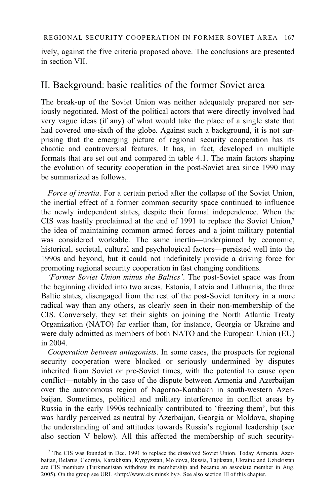ively, against the five criteria proposed above. The conclusions are presented in section VII.

# II. Background: basic realities of the former Soviet area

The break-up of the Soviet Union was neither adequately prepared nor seriously negotiated. Most of the political actors that were directly involved had very vague ideas (if any) of what would take the place of a single state that had covered one-sixth of the globe. Against such a background, it is not surprising that the emerging picture of regional security cooperation has its chaotic and controversial features. It has, in fact, developed in multiple formats that are set out and compared in table 4.1. The main factors shaping the evolution of security cooperation in the post-Soviet area since 1990 may be summarized as follows.

*Force of inertia*. For a certain period after the collapse of the Soviet Union, the inertial effect of a former common security space continued to influence the newly independent states, despite their formal independence. When the CIS was hastily proclaimed at the end of 1991 to replace the Soviet Union,7 the idea of maintaining common armed forces and a joint military potential was considered workable. The same inertia—underpinned by economic, historical, societal, cultural and psychological factors—persisted well into the 1990s and beyond, but it could not indefinitely provide a driving force for promoting regional security cooperation in fast changing conditions.

*'Former Soviet Union minus the Baltics'*. The post-Soviet space was from the beginning divided into two areas. Estonia, Latvia and Lithuania, the three Baltic states, disengaged from the rest of the post-Soviet territory in a more radical way than any others, as clearly seen in their non-membership of the CIS. Conversely, they set their sights on joining the North Atlantic Treaty Organization (NATO) far earlier than, for instance, Georgia or Ukraine and were duly admitted as members of both NATO and the European Union (EU) in 2004.

*Cooperation between antagonists*. In some cases, the prospects for regional security cooperation were blocked or seriously undermined by disputes inherited from Soviet or pre-Soviet times, with the potential to cause open conflict—notably in the case of the dispute between Armenia and Azerbaijan over the autonomous region of Nagorno-Karabakh in south-western Azerbaijan. Sometimes, political and military interference in conflict areas by Russia in the early 1990s technically contributed to 'freezing them', but this was hardly perceived as neutral by Azerbaijan, Georgia or Moldova, shaping the understanding of and attitudes towards Russia's regional leadership (see also section V below). All this affected the membership of such security-

 $<sup>7</sup>$  The CIS was founded in Dec. 1991 to replace the dissolved Soviet Union. Today Armenia, Azer-</sup> baijan, Belarus, Georgia, Kazakhstan, Kyrgyzstan, Moldova, Russia, Tajikstan, Ukraine and Uzbekistan are CIS members (Turkmenistan withdrew its membership and became an associate member in Aug. 2005). On the group see URL <http://www.cis.minsk.by>. See also section III of this chapter.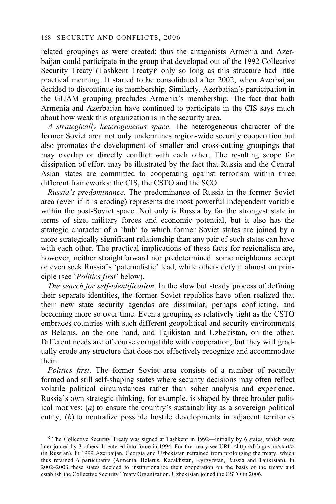related groupings as were created: thus the antagonists Armenia and Azerbaijan could participate in the group that developed out of the 1992 Collective Security Treaty (Tashkent Treaty)<sup>8</sup> only so long as this structure had little practical meaning. It started to be consolidated after 2002, when Azerbaijan decided to discontinue its membership. Similarly, Azerbaijan's participation in the GUAM grouping precludes Armenia's membership. The fact that both Armenia and Azerbaijan have continued to participate in the CIS says much about how weak this organization is in the security area.

*A strategically heterogeneous space*. The heterogeneous character of the former Soviet area not only undermines region-wide security cooperation but also promotes the development of smaller and cross-cutting groupings that may overlap or directly conflict with each other. The resulting scope for dissipation of effort may be illustrated by the fact that Russia and the Central Asian states are committed to cooperating against terrorism within three different frameworks: the CIS, the CSTO and the SCO.

*Russia's predominance*. The predominance of Russia in the former Soviet area (even if it is eroding) represents the most powerful independent variable within the post-Soviet space. Not only is Russia by far the strongest state in terms of size, military forces and economic potential, but it also has the strategic character of a 'hub' to which former Soviet states are joined by a more strategically significant relationship than any pair of such states can have with each other. The practical implications of these facts for regionalism are, however, neither straightforward nor predetermined: some neighbours accept or even seek Russia's 'paternalistic' lead, while others defy it almost on principle (see '*Politics first*' below).

*The search for self-identification*. In the slow but steady process of defining their separate identities, the former Soviet republics have often realized that their new state security agendas are dissimilar, perhaps conflicting, and becoming more so over time. Even a grouping as relatively tight as the CSTO embraces countries with such different geopolitical and security environments as Belarus, on the one hand, and Tajikistan and Uzbekistan, on the other. Different needs are of course compatible with cooperation, but they will gradually erode any structure that does not effectively recognize and accommodate them.

*Politics first*. The former Soviet area consists of a number of recently formed and still self-shaping states where security decisions may often reflect volatile political circumstances rather than sober analysis and experience. Russia's own strategic thinking, for example, is shaped by three broader political motives: (*a*) to ensure the country's sustainability as a sovereign political entity, (*b*) to neutralize possible hostile developments in adjacent territories

<sup>8</sup> The Collective Security Treaty was signed at Tashkent in 1992—initially by 6 states, which were later joined by 3 others. It entered into force in 1994. For the treaty see URL <http://dkb.gov.ru/start/> (in Russian). In 1999 Azerbaijan, Georgia and Uzbekistan refrained from prolonging the treaty, which thus retained 6 participants (Armenia, Belarus, Kazakhstan, Kyrgyzstan, Russia and Tajikistan). In 2002–2003 these states decided to institutionalize their cooperation on the basis of the treaty and establish the Collective Security Treaty Organization. Uzbekistan joined the CSTO in 2006.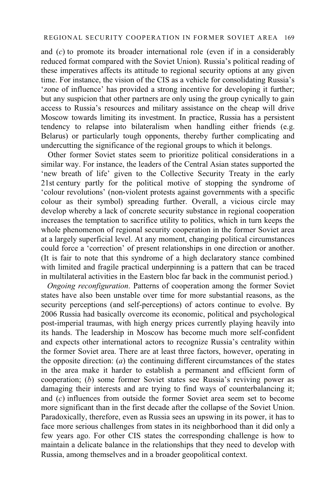and (*c*) to promote its broader international role (even if in a considerably reduced format compared with the Soviet Union). Russia's political reading of these imperatives affects its attitude to regional security options at any given time. For instance, the vision of the CIS as a vehicle for consolidating Russia's 'zone of influence' has provided a strong incentive for developing it further; but any suspicion that other partners are only using the group cynically to gain access to Russia's resources and military assistance on the cheap will drive Moscow towards limiting its investment. In practice, Russia has a persistent tendency to relapse into bilateralism when handling either friends (e.g. Belarus) or particularly tough opponents, thereby further complicating and undercutting the significance of the regional groups to which it belongs.

Other former Soviet states seem to prioritize political considerations in a similar way. For instance, the leaders of the Central Asian states supported the 'new breath of life' given to the Collective Security Treaty in the early 21st century partly for the political motive of stopping the syndrome of 'colour revolutions' (non-violent protests against governments with a specific colour as their symbol) spreading further. Overall, a vicious circle may develop whereby a lack of concrete security substance in regional cooperation increases the temptation to sacrifice utility to politics, which in turn keeps the whole phenomenon of regional security cooperation in the former Soviet area at a largely superficial level. At any moment, changing political circumstances could force a 'correction' of present relationships in one direction or another. (It is fair to note that this syndrome of a high declaratory stance combined with limited and fragile practical underpinning is a pattern that can be traced in multilateral activities in the Eastern bloc far back in the communist period.)

*Ongoing reconfiguration*. Patterns of cooperation among the former Soviet states have also been unstable over time for more substantial reasons, as the security perceptions (and self-perceptions) of actors continue to evolve. By 2006 Russia had basically overcome its economic, political and psychological post-imperial traumas, with high energy prices currently playing heavily into its hands. The leadership in Moscow has become much more self-confident and expects other international actors to recognize Russia's centrality within the former Soviet area. There are at least three factors, however, operating in the opposite direction: (*a*) the continuing different circumstances of the states in the area make it harder to establish a permanent and efficient form of cooperation; (*b*) some former Soviet states see Russia's reviving power as damaging their interests and are trying to find ways of counterbalancing it; and (*c*) influences from outside the former Soviet area seem set to become more significant than in the first decade after the collapse of the Soviet Union. Paradoxically, therefore, even as Russia sees an upswing in its power, it has to face more serious challenges from states in its neighborhood than it did only a few years ago. For other CIS states the corresponding challenge is how to maintain a delicate balance in the relationships that they need to develop with Russia, among themselves and in a broader geopolitical context.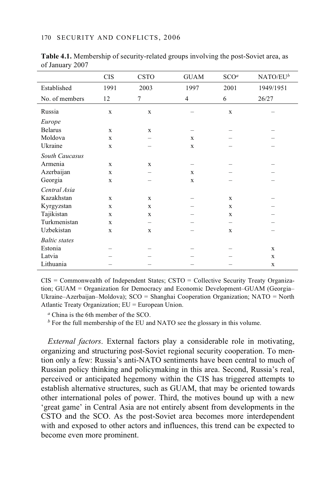|                      | <b>CIS</b>  | <b>CSTO</b> | <b>GUAM</b> | SCO <sup>a</sup> | $NATO/EU^b$ |
|----------------------|-------------|-------------|-------------|------------------|-------------|
| Established          | 1991        | 2003        | 1997        | 2001             | 1949/1951   |
| No. of members       | 12          | $\tau$      | 4           | 6                | 26/27       |
| Russia               | $\mathbf X$ | $\mathbf X$ |             | $\mathbf x$      |             |
| Europe               |             |             |             |                  |             |
| <b>Belarus</b>       | X           | X           |             |                  |             |
| Moldova              | $\mathbf x$ |             | X           |                  |             |
| Ukraine              | X           |             | X           |                  |             |
| South Caucasus       |             |             |             |                  |             |
| Armenia              | X           | X           |             |                  |             |
| Azerbaijan           | $\mathbf x$ |             | X           |                  |             |
| Georgia              | $\mathbf X$ |             | X           |                  |             |
| Central Asia         |             |             |             |                  |             |
| Kazakhstan           | X           | X           |             | X                |             |
| Kyrgyzstan           | X           | X           |             | X                |             |
| Tajikistan           | X           | X           |             | X                |             |
| Turkmenistan         | X           |             |             |                  |             |
| Uzbekistan           | X           | X           |             | X                |             |
| <b>Baltic</b> states |             |             |             |                  |             |
| Estonia              |             |             |             |                  | X           |
| Latvia               |             |             |             |                  | X           |
| Lithuania            |             |             |             |                  | X           |

**Table 4.1.** Membership of security-related groups involving the post-Soviet area, as of January 2007

 $CIS =$  Commonwealth of Independent States;  $CSTO =$  Collective Security Treaty Organization; GUAM = Organization for Democracy and Economic Development–GUAM (Georgia– Ukraine–Azerbaijan–Moldova); SCO = Shanghai Cooperation Organization; NATO = North Atlantic Treaty Organization; EU = European Union.

*<sup>a</sup>* China is the 6th member of the SCO.

*b* For the full membership of the EU and NATO see the glossary in this volume.

*External factors*. External factors play a considerable role in motivating, organizing and structuring post-Soviet regional security cooperation. To mention only a few: Russia's anti-NATO sentiments have been central to much of Russian policy thinking and policymaking in this area. Second, Russia's real, perceived or anticipated hegemony within the CIS has triggered attempts to establish alternative structures, such as GUAM, that may be oriented towards other international poles of power. Third, the motives bound up with a new 'great game' in Central Asia are not entirely absent from developments in the CSTO and the SCO. As the post-Soviet area becomes more interdependent with and exposed to other actors and influences, this trend can be expected to become even more prominent.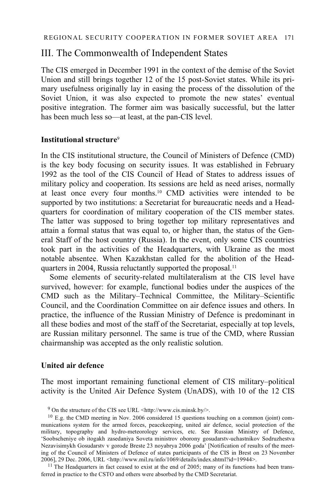## III. The Commonwealth of Independent States

The CIS emerged in December 1991 in the context of the demise of the Soviet Union and still brings together 12 of the 15 post-Soviet states. While its primary usefulness originally lay in easing the process of the dissolution of the Soviet Union, it was also expected to promote the new states' eventual positive integration. The former aim was basically successful, but the latter has been much less so—at least, at the pan-CIS level.

### **Institutional structure**<sup>9</sup>

In the CIS institutional structure, the Council of Ministers of Defence (CMD) is the key body focusing on security issues. It was established in February 1992 as the tool of the CIS Council of Head of States to address issues of military policy and cooperation. Its sessions are held as need arises, normally at least once every four months.10 CMD activities were intended to be supported by two institutions: a Secretariat for bureaucratic needs and a Headquarters for coordination of military cooperation of the CIS member states. The latter was supposed to bring together top military representatives and attain a formal status that was equal to, or higher than, the status of the General Staff of the host country (Russia). In the event, only some CIS countries took part in the activities of the Headquarters, with Ukraine as the most notable absentee. When Kazakhstan called for the abolition of the Headquarters in 2004, Russia reluctantly supported the proposal.11

 Some elements of security-related multilateralism at the CIS level have survived, however: for example, functional bodies under the auspices of the CMD such as the Military–Technical Committee, the Military–Scientific Council, and the Coordination Committee on air defence issues and others. In practice, the influence of the Russian Ministry of Defence is predominant in all these bodies and most of the staff of the Secretariat, especially at top levels, are Russian military personnel. The same is true of the CMD, where Russian chairmanship was accepted as the only realistic solution.

### **United air defence**

The most important remaining functional element of CIS military–political activity is the United Air Defence System (UnADS), with 10 of the 12 CIS

<sup>11</sup> The Headquarters in fact ceased to exist at the end of 2005; many of its functions had been transferred in practice to the CSTO and others were absorbed by the CMD Secretariat.

<sup>9</sup> On the structure of the CIS see URL <http://www.cis.minsk.by/>.

<sup>10</sup> E.g. the CMD meeting in Nov. 2006 considered 15 questions touching on a common (joint) communications system for the armed forces, peacekeeping, united air defence, social protection of the military, topography and hydro-meteorology services, etc. See Russian Ministry of Defence, 'Soobscheniye ob itogakh zasedaniya Soveta ministrov oborony gosudarstv-uchastnikov Sodruzhestva Nezavisimykh Gosudarstv v gorode Breste 23 noyabrya 2006 goda' [Notification of results of the meeting of the Council of Ministers of Defence of states participants of the CIS in Brest on 23 November 2006], 29 Dec. 2006, URL <http://www.mil.ru/info/1069/details/index.shtml?id=19944>.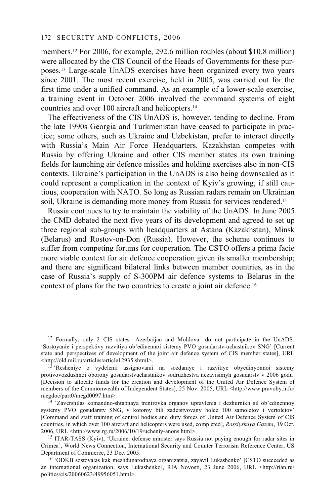members.12 For 2006, for example, 292.6 million roubles (about \$10.8 million) were allocated by the CIS Council of the Heads of Governments for these purposes.13 Large-scale UnADS exercises have been organized every two years since 2001. The most recent exercise, held in 2005, was carried out for the first time under a unified command. As an example of a lower-scale exercise, a training event in October 2006 involved the command systems of eight countries and over 100 aircraft and helicopters.14

The effectiveness of the CIS UnADS is, however, tending to decline. From the late 1990s Georgia and Turkmenistan have ceased to participate in practice; some others, such as Ukraine and Uzbekistan, prefer to interact directly with Russia's Main Air Force Headquarters. Kazakhstan competes with Russia by offering Ukraine and other CIS member states its own training fields for launching air defence missiles and holding exercises also in non-CIS contexts. Ukraine's participation in the UnADS is also being downscaled as it could represent a complication in the context of Kyiv's growing, if still cautious, cooperation with NATO. So long as Russian radars remain on Ukrainian soil, Ukraine is demanding more money from Russia for services rendered.<sup>15</sup>

Russia continues to try to maintain the viability of the UnADS. In June 2005 the CMD debated the next five years of its development and agreed to set up three regional sub-groups with headquarters at Astana (Kazakhstan), Minsk (Belarus) and Rostov-on-Don (Russia). However, the scheme continues to suffer from competing forums for cooperation. The CSTO offers a prima facie more viable context for air defence cooperation given its smaller membership; and there are significant bilateral links between member countries, as in the case of Russia's supply of S-300PM air defence systems to Belarus in the context of plans for the two countries to create a joint air defence.16

12 Formally, only 2 CIS states—Azerbaijan and Moldova—do not participate in the UnADS. 'Sostoyanie i perspektivy razvitiya ob'edinennoi sistemy PVO gosudarstv-uchastnikov SNG' [Current state and perspectives of development of the joint air defence system of CIS member states], URL <http://old.mil.ru/articles/article12935.shtml>.

 $13$  'Resheniye o vydelenii assignovanii na sozdaniye i razvitiye obyedinyonnoi sistemy protivovozdushnoi oborony gosudarstvuchastnikov sodruzhestva nezavisimyh gosudarstv v 2006 godu' [Decision to allocate funds for the creation and development of the United Air Defence System of members of the Commonwealth of Independent States], 25 Nov. 2005, URL <http://www.pravoby.info/ megdoc/part0/megd0097.htm>. 14 'Zavershilas komandno-shtabnaya trenirovka organov upravlenia i dezhurnikh sil ob'edinennoy

systemy PVO gosudarstv SNG, v kotoroy bili zadeistvovany bolee 100 samoletov i vertoletov' [Command and staff training of control bodies and duty forces of United Air Defence System of CIS countries, in which over 100 aircraft and helicopters were used, completed], *Rossiyskaya Gazeta*, 19 Oct. 2006, URL <http://www.rg.ru/2006/10/19/ucheniy-anons.html>.

<sup>15</sup> ITAR-TASS (Kyiv), 'Ukraine: defense minister says Russia not paying enough for radar sites in Crimea', World News Connection, International Security and Counter Terrorism Reference Center, US

<sup>16</sup> 'ODKB sostoyalas kak mezhdunarodnaya organizatsia, zayavil Lukashenko' [CSTO succeeded as an international organization, says Lukashenko], RIA Novosti, 23 June 2006, URL <http://rian.ru/ politics/cis/20060623/49956051.html>.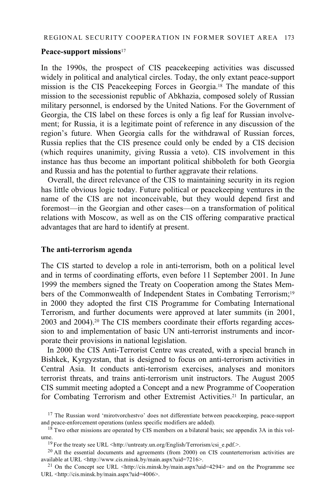#### **Peace-support missions**<sup>17</sup>

In the 1990s, the prospect of CIS peacekeeping activities was discussed widely in political and analytical circles. Today, the only extant peace-support mission is the CIS Peacekeeping Forces in Georgia.18 The mandate of this mission to the secessionist republic of Abkhazia, composed solely of Russian military personnel, is endorsed by the United Nations. For the Government of Georgia, the CIS label on these forces is only a fig leaf for Russian involvement; for Russia, it is a legitimate point of reference in any discussion of the region's future. When Georgia calls for the withdrawal of Russian forces, Russia replies that the CIS presence could only be ended by a CIS decision (which requires unanimity, giving Russia a veto). CIS involvement in this instance has thus become an important political shibboleth for both Georgia and Russia and has the potential to further aggravate their relations.

Overall, the direct relevance of the CIS to maintaining security in its region has little obvious logic today. Future political or peacekeeping ventures in the name of the CIS are not inconceivable, but they would depend first and foremost—in the Georgian and other cases—on a transformation of political relations with Moscow, as well as on the CIS offering comparative practical advantages that are hard to identify at present.

#### **The anti-terrorism agenda**

The CIS started to develop a role in anti-terrorism, both on a political level and in terms of coordinating efforts, even before 11 September 2001. In June 1999 the members signed the Treaty on Cooperation among the States Members of the Commonwealth of Independent States in Combating Terrorism;19 in 2000 they adopted the first CIS Programme for Combating International Terrorism, and further documents were approved at later summits (in 2001, 2003 and 2004).20 The CIS members coordinate their efforts regarding accession to and implementation of basic UN anti-terrorist instruments and incorporate their provisions in national legislation.

In 2000 the CIS Anti-Terrorist Centre was created, with a special branch in Bishkek, Kyrgyzstan, that is designed to focus on anti-terrorism activities in Central Asia. It conducts anti-terrorism exercises, analyses and monitors terrorist threats, and trains anti-terrorism unit instructors. The August 2005 CIS summit meeting adopted a Concept and a new Programme of Cooperation for Combating Terrorism and other Extremist Activities.21 In particular, an

 $17$  The Russian word 'mirotvorchestvo' does not differentiate between peacekeeping, peace-support and peace-enforcement operations (unless specific modifiers are added).<br><sup>18</sup> Two other missions are operated by CIS members on a bilateral basis; see appendix 3A in this vol-

ume.

<sup>&</sup>lt;sup>19</sup> For the treaty see URL <http://untreaty.un.org/English/Terrorism/csi\_e.pdf.>.<br><sup>20</sup> All the essential documents and agreements (from 2000) on CIS counterterrorism activities are available at URL <http://www.cis.minsk.

<sup>&</sup>lt;sup>21</sup> On the Concept see URL  $\lt$ http://cis.minsk.by/main.aspx?uid=4294> and on the Programme see URL <http://cis.minsk.by/main.aspx?uid=4006>.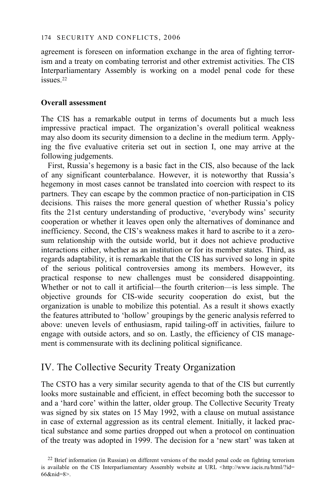agreement is foreseen on information exchange in the area of fighting terrorism and a treaty on combating terrorist and other extremist activities. The CIS Interparliamentary Assembly is working on a model penal code for these issues.<sup>22</sup>

### **Overall assessment**

The CIS has a remarkable output in terms of documents but a much less impressive practical impact. The organization's overall political weakness may also doom its security dimension to a decline in the medium term. Applying the five evaluative criteria set out in section I, one may arrive at the following judgements.

First, Russia's hegemony is a basic fact in the CIS, also because of the lack of any significant counterbalance. However, it is noteworthy that Russia's hegemony in most cases cannot be translated into coercion with respect to its partners. They can escape by the common practice of non-participation in CIS decisions. This raises the more general question of whether Russia's policy fits the 21st century understanding of productive, 'everybody wins' security cooperation or whether it leaves open only the alternatives of dominance and inefficiency. Second, the CIS's weakness makes it hard to ascribe to it a zerosum relationship with the outside world, but it does not achieve productive interactions either, whether as an institution or for its member states. Third, as regards adaptability, it is remarkable that the CIS has survived so long in spite of the serious political controversies among its members. However, its practical response to new challenges must be considered disappointing. Whether or not to call it artificial—the fourth criterion—is less simple. The objective grounds for CIS-wide security cooperation do exist, but the organization is unable to mobilize this potential. As a result it shows exactly the features attributed to 'hollow' groupings by the generic analysis referred to above: uneven levels of enthusiasm, rapid tailing-off in activities, failure to engage with outside actors, and so on. Lastly, the efficiency of CIS management is commensurate with its declining political significance.

# IV. The Collective Security Treaty Organization

The CSTO has a very similar security agenda to that of the CIS but currently looks more sustainable and efficient, in effect becoming both the successor to and a 'hard core' within the latter, older group. The Collective Security Treaty was signed by six states on 15 May 1992, with a clause on mutual assistance in case of external aggression as its central element. Initially, it lacked practical substance and some parties dropped out when a protocol on continuation of the treaty was adopted in 1999. The decision for a 'new start' was taken at

<sup>&</sup>lt;sup>22</sup> Brief information (in Russian) on different versions of the model penal code on fighting terrorism is available on the CIS Interparliamentary Assembly website at URL <http://www.iacis.ru/html/?id= 66&nid=8>.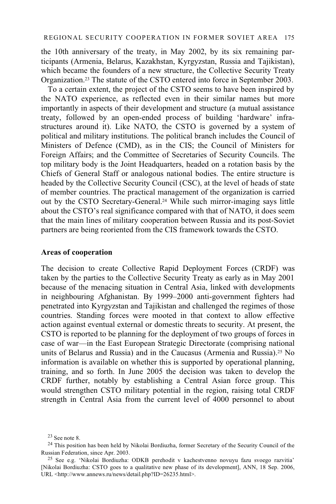the 10th anniversary of the treaty, in May 2002, by its six remaining participants (Armenia, Belarus, Kazakhstan, Kyrgyzstan, Russia and Tajikistan), which became the founders of a new structure, the Collective Security Treaty Organization.23 The statute of the CSTO entered into force in September 2003.

To a certain extent, the project of the CSTO seems to have been inspired by the NATO experience, as reflected even in their similar names but more importantly in aspects of their development and structure (a mutual assistance treaty, followed by an open-ended process of building 'hardware' infrastructures around it). Like NATO, the CSTO is governed by a system of political and military institutions. The political branch includes the Council of Ministers of Defence (CMD), as in the CIS; the Council of Ministers for Foreign Affairs; and the Committee of Secretaries of Security Councils. The top military body is the Joint Headquarters, headed on a rotation basis by the Chiefs of General Staff or analogous national bodies. The entire structure is headed by the Collective Security Council (CSC), at the level of heads of state of member countries. The practical management of the organization is carried out by the CSTO Secretary-General.24 While such mirror-imaging says little about the CSTO's real significance compared with that of NATO, it does seem that the main lines of military cooperation between Russia and its post-Soviet partners are being reoriented from the CIS framework towards the CSTO.

#### **Areas of cooperation**

The decision to create Collective Rapid Deployment Forces (CRDF) was taken by the parties to the Collective Security Treaty as early as in May 2001 because of the menacing situation in Central Asia, linked with developments in neighbouring Afghanistan. By 1999–2000 anti-government fighters had penetrated into Kyrgyzstan and Tajikistan and challenged the regimes of those countries. Standing forces were mooted in that context to allow effective action against eventual external or domestic threats to security. At present, the CSTO is reported to be planning for the deployment of two groups of forces in case of war—in the East European Strategic Directorate (comprising national units of Belarus and Russia) and in the Caucasus (Armenia and Russia).25 No information is available on whether this is supported by operational planning, training, and so forth. In June 2005 the decision was taken to develop the CRDF further, notably by establishing a Central Asian force group. This would strengthen CSTO military potential in the region, raising total CRDF strength in Central Asia from the current level of 4000 personnel to about

<sup>23</sup> See note 8.

 $^{24}$  This position has been held by Nikolai Bordiuzha, former Secretary of the Security Council of the Russian Federation, since Apr. 2003.

<sup>&</sup>lt;sup>25</sup> See e.g. 'Nikolai Bordiuzha: ODKB perehodit v kachestvenno novuyu fazu svoego razvitia' [Nikolai Bordiuzha: CSTO goes to a qualitative new phase of its development], ANN, 18 Sep. 2006, URL <http://www.annews.ru/news/detail.php?ID=26235.html>.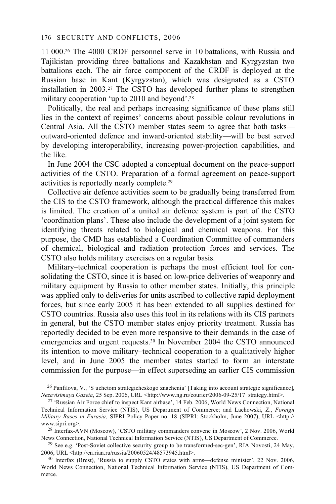11 000.26 The 4000 CRDF personnel serve in 10 battalions, with Russia and Tajikistan providing three battalions and Kazakhstan and Kyrgyzstan two battalions each. The air force component of the CRDF is deployed at the Russian base in Kant (Kyrgyzstan), which was designated as a CSTO installation in 2003.27 The CSTO has developed further plans to strengthen military cooperation 'up to 2010 and beyond'.28

Politically, the real and perhaps increasing significance of these plans still lies in the context of regimes' concerns about possible colour revolutions in Central Asia. All the CSTO member states seem to agree that both tasks outward-oriented defence and inward-oriented stability—will be best served by developing interoperability, increasing power-projection capabilities, and the like.

In June 2004 the CSC adopted a conceptual document on the peace-support activities of the CSTO. Preparation of a formal agreement on peace-support activities is reportedly nearly complete.29

Collective air defence activities seem to be gradually being transferred from the CIS to the CSTO framework, although the practical difference this makes is limited. The creation of a united air defence system is part of the CSTO 'coordination plans'. These also include the development of a joint system for identifying threats related to biological and chemical weapons. For this purpose, the CMD has established a Coordination Committee of commanders of chemical, biological and radiation protection forces and services. The CSTO also holds military exercises on a regular basis.

Military–technical cooperation is perhaps the most efficient tool for consolidating the CSTO, since it is based on low-price deliveries of weaponry and military equipment by Russia to other member states. Initially, this principle was applied only to deliveries for units ascribed to collective rapid deployment forces, but since early 2005 it has been extended to all supplies destined for CSTO countries. Russia also uses this tool in its relations with its CIS partners in general, but the CSTO member states enjoy priority treatment. Russia has reportedly decided to be even more responsive to their demands in the case of emergencies and urgent requests.30 In November 2004 the CSTO announced its intention to move military–technical cooperation to a qualitatively higher level, and in June 2005 the member states started to form an interstate commission for the purpose—in effect superseding an earlier CIS commission

<sup>26</sup> Panfilova, V., 'S uchetom strategicheskogo znachenia' [Taking into account strategic significance], *Nezavisimaya Gazeta*, 25 Sep. 2006, URL <http://www.ng.ru/courier/2006-09-25/17 strategy.html>.

News Connection, National Technical Information Service (NTIS), US Department of Commerce.<br><sup>29</sup> See e.g. 'Post-Soviet collective security group to be transformed-sec-gen', RIA Novosti, 24 May,<br>2006, URL <http://en.rian.ru/

<sup>30</sup> Interfax (Brest), 'Russia to supply CSTO states with arms—defense minister', 22 Nov. 2006, World News Connection, National Technical Information Service (NTIS), US Department of Commerce.

<sup>&</sup>lt;sup>27</sup> 'Russian Air Force chief to inspect Kant airbase', 14 Feb. 2006, World News Connection, National Technical Information Service (NTIS), US Department of Commerce; and Lachowski, Z., *Foreign Military Bases in Eurasia*, SIPRI Policy Paper no. 18 (SIPRI: Stockholm, June 2007), URL <http:// www.sipri.org>.<br><sup>28</sup> Interfax-AVN (Moscow), 'CSTO military commanders convene in Moscow', 2 Nov. 2006, World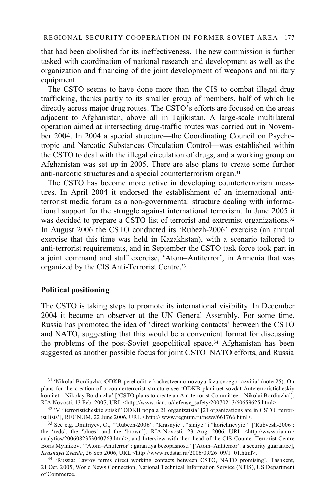that had been abolished for its ineffectiveness. The new commission is further tasked with coordination of national research and development as well as the organization and financing of the joint development of weapons and military equipment.

The CSTO seems to have done more than the CIS to combat illegal drug trafficking, thanks partly to its smaller group of members, half of which lie directly across major drug routes. The CSTO's efforts are focused on the areas adjacent to Afghanistan, above all in Tajikistan. A large-scale multilateral operation aimed at intersecting drug-traffic routes was carried out in November 2004. In 2004 a special structure—the Coordinating Council on Psychotropic and Narcotic Substances Circulation Control—was established within the CSTO to deal with the illegal circulation of drugs, and a working group on Afghanistan was set up in 2005. There are also plans to create some further anti-narcotic structures and a special counterterrorism organ.31

The CSTO has become more active in developing counterterrorism measures. In April 2004 it endorsed the establishment of an international antiterrorist media forum as a non-governmental structure dealing with informational support for the struggle against international terrorism. In June 2005 it was decided to prepare a CSTO list of terrorist and extremist organizations.<sup>32</sup> In August 2006 the CSTO conducted its 'Rubezh-2006' exercise (an annual exercise that this time was held in Kazakhstan), with a scenario tailored to anti-terrorist requirements, and in September the CSTO task force took part in a joint command and staff exercise, 'Atom–Antiterror', in Armenia that was organized by the CIS Anti-Terrorist Centre.33

### **Political positioning**

The CSTO is taking steps to promote its international visibility. In December 2004 it became an observer at the UN General Assembly. For some time, Russia has promoted the idea of 'direct working contacts' between the CSTO and NATO, suggesting that this would be a convenient format for discussing the problems of the post-Soviet geopolitical space.34 Afghanistan has been suggested as another possible focus for joint CSTO–NATO efforts, and Russia

31 'Nikolai Bordiuzha: ODKB perehodit v kachestvenno novuyu fazu svoego razvitia' (note 25). On plans for the creation of a counterterrorist structure see 'ODKB planiruet sozdat Anteterroristicheskiy komitet—Nikolay Bordiuzha' ['CSTO plans to create an Antiterrorist Committee—Nikolai Bordiuzha'],

<sup>&</sup>lt;sup>32</sup> 'V "terroristicheskie spiski" ODKB popala 21 organizatsia' [21 organizations are in CSTO 'terrorist lists'], REGNUM, 22 June 2006, URL <http://www.regnum.ru/news/661766.html>.

<sup>&</sup>lt;sup>33</sup> See e.g. Dmitriyev, O., "Rubezh-2006": "Krasnyie", "siniye" i "korichnevyie"' ['Rubvesh-2006': the 'reds', the 'blues' and the 'brown'], RIA-Novosti, 23 Aug. 2006, URL <http://www.rian.ru/ analytics/2006082353040763.html>; and Interview with then head of the CIS Counter-Terrorist Centre Boris Mylnikov, "'Atom–Antiterror": garantiya bezopasnosti' ['Atom–Antiterror': a security guarantee], Krasnaya Zvezda, 26 Sep 2006, URL <http://www.redstar.ru/2006/09/26 09/1 01.html>.

<sup>&</sup>lt;sup>34</sup> 'Russia: Lavrov terms direct working contacts between CSTO, NATO promising', Tashkent, 21 Oct. 2005, World News Connection, National Technical Information Service (NTIS), US Department of Commerce.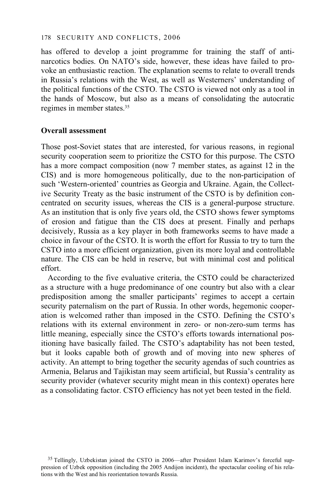has offered to develop a joint programme for training the staff of antinarcotics bodies. On NATO's side, however, these ideas have failed to provoke an enthusiastic reaction. The explanation seems to relate to overall trends in Russia's relations with the West, as well as Westerners' understanding of the political functions of the CSTO. The CSTO is viewed not only as a tool in the hands of Moscow, but also as a means of consolidating the autocratic regimes in member states.35

#### **Overall assessment**

Those post-Soviet states that are interested, for various reasons, in regional security cooperation seem to prioritize the CSTO for this purpose. The CSTO has a more compact composition (now 7 member states, as against 12 in the CIS) and is more homogeneous politically, due to the non-participation of such 'Western-oriented' countries as Georgia and Ukraine. Again, the Collective Security Treaty as the basic instrument of the CSTO is by definition concentrated on security issues, whereas the CIS is a general-purpose structure. As an institution that is only five years old, the CSTO shows fewer symptoms of erosion and fatigue than the CIS does at present. Finally and perhaps decisively, Russia as a key player in both frameworks seems to have made a choice in favour of the CSTO. It is worth the effort for Russia to try to turn the CSTO into a more efficient organization, given its more loyal and controllable nature. The CIS can be held in reserve, but with minimal cost and political effort.

According to the five evaluative criteria, the CSTO could be characterized as a structure with a huge predominance of one country but also with a clear predisposition among the smaller participants' regimes to accept a certain security paternalism on the part of Russia. In other words, hegemonic cooperation is welcomed rather than imposed in the CSTO. Defining the CSTO's relations with its external environment in zero- or non-zero-sum terms has little meaning, especially since the CSTO's efforts towards international positioning have basically failed. The CSTO's adaptability has not been tested, but it looks capable both of growth and of moving into new spheres of activity. An attempt to bring together the security agendas of such countries as Armenia, Belarus and Tajikistan may seem artificial, but Russia's centrality as security provider (whatever security might mean in this context) operates here as a consolidating factor. CSTO efficiency has not yet been tested in the field.

<sup>&</sup>lt;sup>35</sup> Tellingly, Uzbekistan joined the CSTO in 2006—after President Islam Karimov's forceful suppression of Uzbek opposition (including the 2005 Andijon incident), the spectacular cooling of his relations with the West and his reorientation towards Russia.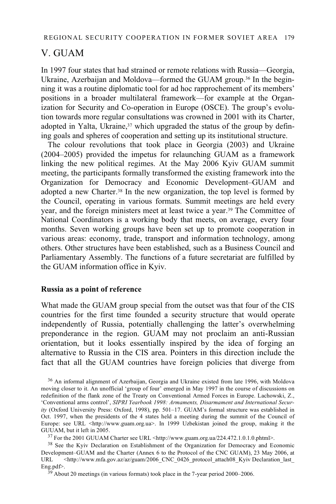# V. GUAM

In 1997 four states that had strained or remote relations with Russia—Georgia, Ukraine, Azerbaijan and Moldova—formed the GUAM group.<sup>36</sup> In the beginning it was a routine diplomatic tool for ad hoc rapprochement of its members' positions in a broader multilateral framework—for example at the Organization for Security and Co-operation in Europe (OSCE). The group's evolution towards more regular consultations was crowned in 2001 with its Charter, adopted in Yalta, Ukraine, $37$  which upgraded the status of the group by defining goals and spheres of cooperation and setting up its institutional structure.

The colour revolutions that took place in Georgia (2003) and Ukraine (2004–2005) provided the impetus for relaunching GUAM as a framework linking the new political regimes. At the May 2006 Kyiv GUAM summit meeting, the participants formally transformed the existing framework into the Organization for Democracy and Economic Development–GUAM and adopted a new Charter.38 In the new organization, the top level is formed by the Council, operating in various formats. Summit meetings are held every year, and the foreign ministers meet at least twice a year.39 The Committee of National Coordinators is a working body that meets, on average, every four months. Seven working groups have been set up to promote cooperation in various areas: economy, trade, transport and information technology, among others. Other structures have been established, such as a Business Council and Parliamentary Assembly. The functions of a future secretariat are fulfilled by the GUAM information office in Kyiv.

### **Russia as a point of reference**

What made the GUAM group special from the outset was that four of the CIS countries for the first time founded a security structure that would operate independently of Russia, potentially challenging the latter's overwhelming preponderance in the region. GUAM may not proclaim an anti-Russian orientation, but it looks essentially inspired by the idea of forging an alternative to Russia in the CIS area. Pointers in this direction include the fact that all the GUAM countries have foreign policies that diverge from

<sup>36</sup> An informal alignment of Azerbaijan, Georgia and Ukraine existed from late 1996, with Moldova moving closer to it. An unofficial 'group of four' emerged in May 1997 in the course of discussions on redefinition of the flank zone of the Treaty on Conventional Armed Forces in Europe. Lachowski, Z., 'Conventional arms control', *SIPRI Yearbook 1998: Armaments, Disarmament and International Security* (Oxford University Press: Oxford, 1998), pp. 501–17. GUAM's formal structure was established in Oct. 1997, when the presidents of the 4 states held a meeting during the summit of the Council of Europe: see URL <http://www.guam.org.ua>. In 1999 Uzbekistan joined the group, making it the GUUAM, but it left in 2005.

<sup>37</sup> For the 2001 GUUAM Charter see URL <http://www.guam.org.ua/224.472.1.0.1.0.phtml>.

38 See the Kyiv Declaration on Establishment of the Organization for Democracy and Economic Development–GUAM and the Charter (Annex 6 to the Protocol of the CNC GUAM), 23 May 2006, at<br>URL <http://www.mfa.gov.az/az/guam/2006 CNC 0426 protocol attach08 Kviv Declaration last URL <http://www.mfa.gov.az/az/guam/2006\_CNC\_0426\_protocol\_attach08\_Kyiv Declaration\_last\_ Eng.pdf>.<br><sup>39</sup> About 20 meetings (in various formats) took place in the 7-year period 2000–2006.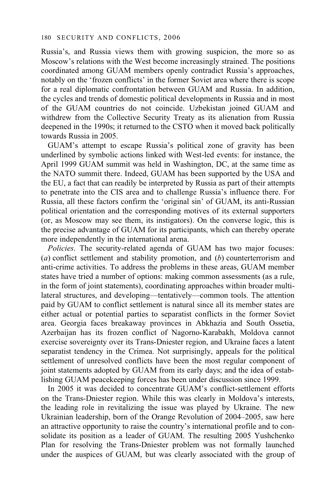Russia's, and Russia views them with growing suspicion, the more so as Moscow's relations with the West become increasingly strained. The positions coordinated among GUAM members openly contradict Russia's approaches, notably on the 'frozen conflicts' in the former Soviet area where there is scope for a real diplomatic confrontation between GUAM and Russia. In addition, the cycles and trends of domestic political developments in Russia and in most of the GUAM countries do not coincide. Uzbekistan joined GUAM and withdrew from the Collective Security Treaty as its alienation from Russia deepened in the 1990s; it returned to the CSTO when it moved back politically towards Russia in 2005.

GUAM's attempt to escape Russia's political zone of gravity has been underlined by symbolic actions linked with West-led events: for instance, the April 1999 GUAM summit was held in Washington, DC, at the same time as the NATO summit there. Indeed, GUAM has been supported by the USA and the EU, a fact that can readily be interpreted by Russia as part of their attempts to penetrate into the CIS area and to challenge Russia's influence there. For Russia, all these factors confirm the 'original sin' of GUAM, its anti-Russian political orientation and the corresponding motives of its external supporters (or, as Moscow may see them, its instigators). On the converse logic, this is the precise advantage of GUAM for its participants, which can thereby operate more independently in the international arena.

*Policies*. The security-related agenda of GUAM has two major focuses: (*a*) conflict settlement and stability promotion, and (*b*) counterterrorism and anti-crime activities. To address the problems in these areas, GUAM member states have tried a number of options: making common assessments (as a rule, in the form of joint statements), coordinating approaches within broader multilateral structures, and developing—tentatively—common tools. The attention paid by GUAM to conflict settlement is natural since all its member states are either actual or potential parties to separatist conflicts in the former Soviet area. Georgia faces breakaway provinces in Abkhazia and South Ossetia, Azerbaijan has its frozen conflict of Nagorno-Karabakh, Moldova cannot exercise sovereignty over its Trans-Dniester region, and Ukraine faces a latent separatist tendency in the Crimea. Not surprisingly, appeals for the political settlement of unresolved conflicts have been the most regular component of joint statements adopted by GUAM from its early days; and the idea of establishing GUAM peacekeeping forces has been under discussion since 1999.

In 2005 it was decided to concentrate GUAM's conflict-settlement efforts on the Trans-Dniester region. While this was clearly in Moldova's interests, the leading role in revitalizing the issue was played by Ukraine. The new Ukrainian leadership, born of the Orange Revolution of 2004–2005, saw here an attractive opportunity to raise the country's international profile and to consolidate its position as a leader of GUAM. The resulting 2005 Yushchenko Plan for resolving the Trans-Dniester problem was not formally launched under the auspices of GUAM, but was clearly associated with the group of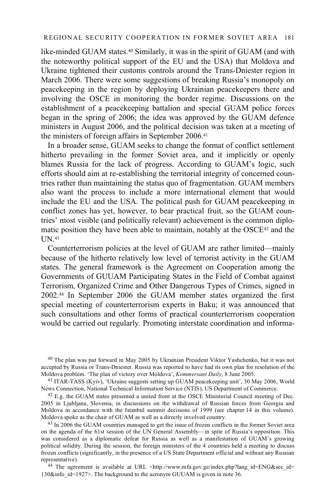like-minded GUAM states.40 Similarly, it was in the spirit of GUAM (and with the noteworthy political support of the EU and the USA) that Moldova and Ukraine tightened their customs controls around the Trans-Dniester region in March 2006. There were some suggestions of breaking Russia's monopoly on peacekeeping in the region by deploying Ukrainian peacekeepers there and involving the OSCE in monitoring the border regime. Discussions on the establishment of a peacekeeping battalion and special GUAM police forces began in the spring of 2006; the idea was approved by the GUAM defence ministers in August 2006, and the political decision was taken at a meeting of the ministers of foreign affairs in September 2006.41

In a broader sense, GUAM seeks to change the format of conflict settlement hitherto prevailing in the former Soviet area, and it implicitly or openly blames Russia for the lack of progress. According to GUAM's logic, such efforts should aim at re-establishing the territorial integrity of concerned countries rather than maintaining the status quo of fragmentation. GUAM members also want the process to include a more international element that would include the EU and the USA. The political push for GUAM peacekeeping in conflict zones has yet, however, to bear practical fruit, so the GUAM countries' most visible (and politically relevant) achievement is the common diplomatic position they have been able to maintain, notably at the OSCE<sup>42</sup> and the UN.43

Counterterrorism policies at the level of GUAM are rather limited—mainly because of the hitherto relatively low level of terrorist activity in the GUAM states. The general framework is the Agreement on Cooperation among the Governments of GUUAM Participating States in the Field of Combat against Terrorism, Organized Crime and Other Dangerous Types of Crimes, signed in 2002.44 In September 2006 the GUAM member states organized the first special meeting of counterterrorism experts in Baku; it was announced that such consultations and other forms of practical counterterrorism cooperation would be carried out regularly. Promoting interstate coordination and informa-

40 The plan was put forward in May 2005 by Ukrainian President Viktor Yushchenko, but it was not accepted by Russia or Trans-Dniester. Russia was reported to have had its own plan for resolution of the Moldova problem. 'The plan of victory over Moldova', *Kommersant Daily*, 8 June 2005.

<sup>41</sup> ITAR-TASS (Kyiv), 'Ukraine suggests setting up GUAM peacekeeping unit', 30 May 2006, World News Connection, National Technical Information Service (NTIS), US Department of Commerce.

 $42$  E.g. the GUAM states presented a united front at the OSCE Ministerial Council meeting of Dec. 2005 in Ljubljana, Slovenia, in discussions on the withdrawal of Russian forces from Georgia and Moldova in accordance with the Istanbul summit decisions of 1999 (see chapter 14 in this volume). Moldova spoke as the chair of GUAM as well as a directly involved country.

<sup>43</sup> In 2006 the GUAM countries managed to get the issue of frozen conflicts in the former Soviet area on the agenda of the 61st session of the UN General Assembly—in spite of Russia's opposition. This was considered as a diplomatic defeat for Russia as well as a manifestation of GUAM's growing political solidity. During the session, the foreign ministers of the 4 countries held a meeting to discuss frozen conflicts (significantly, in the presence of a US State Department official and without any Russian representative).<br><sup>44</sup> The agreement is available at URL <http://www.mfa.gov.ge/index.php?lang\_id=ENG&sec\_id=

130&info id=1927>. The background to the acronym GUUAM is given in note 36.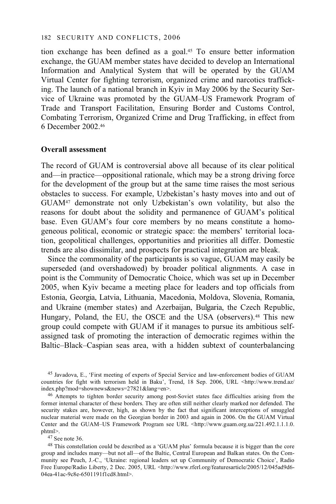tion exchange has been defined as a goal.45 To ensure better information exchange, the GUAM member states have decided to develop an International Information and Analytical System that will be operated by the GUAM Virtual Center for fighting terrorism, organized crime and narcotics trafficking. The launch of a national branch in Kyiv in May 2006 by the Security Service of Ukraine was promoted by the GUAM–US Framework Program of Trade and Transport Facilitation, Ensuring Border and Customs Control, Combating Terrorism, Organized Crime and Drug Trafficking, in effect from 6 December 2002.46

#### **Overall assessment**

The record of GUAM is controversial above all because of its clear political and—in practice—oppositional rationale, which may be a strong driving force for the development of the group but at the same time raises the most serious obstacles to success. For example, Uzbekistan's hasty moves into and out of GUAM47 demonstrate not only Uzbekistan's own volatility, but also the reasons for doubt about the solidity and permanence of GUAM's political base. Even GUAM's four core members by no means constitute a homogeneous political, economic or strategic space: the members' territorial location, geopolitical challenges, opportunities and priorities all differ. Domestic trends are also dissimilar, and prospects for practical integration are bleak.

Since the commonality of the participants is so vague, GUAM may easily be superseded (and overshadowed) by broader political alignments. A case in point is the Community of Democratic Choice, which was set up in December 2005, when Kyiv became a meeting place for leaders and top officials from Estonia, Georgia, Latvia, Lithuania, Macedonia, Moldova, Slovenia, Romania, and Ukraine (member states) and Azerbaijan, Bulgaria, the Czech Republic, Hungary, Poland, the EU, the OSCE and the USA (observers).<sup>48</sup> This new group could compete with GUAM if it manages to pursue its ambitious selfassigned task of promoting the interaction of democratic regimes within the Baltic–Black–Caspian seas area, with a hidden subtext of counterbalancing

45 Javadova, E., 'First meeting of experts of Special Service and law-enforcement bodies of GUAM countries for fight with terrorism held in Baku', Trend, 18 Sep. 2006, URL <http://www.trend.az/ index.php?mod=shownews&news=27821&lang=en>.

<sup>46</sup> Attempts to tighten border security among post-Soviet states face difficulties arising from the former internal character of these borders. They are often still neither clearly marked nor defended. The security stakes are, however, high, as shown by the fact that significant interceptions of smuggled nuclear material were made on the Georgian border in 2003 and again in 2006. On the GUAM Virtual Center and the GUAM–US Framework Program see URL <http://www.guam.org.ua/221.492.1.1.1.0.<br>phtml>.

 $47$  See note 36.

48 This constellation could be described as a 'GUAM plus' formula because it is bigger than the core group and includes many—but not all—of the Baltic, Central European and Balkan states. On the Community see Peuch, J.-C., 'Ukraine: regional leaders set up Community of Democratic Choice', Radio Free Europe/Radio Liberty, 2 Dec. 2005, URL <http://www.rferl.org/featuresarticle/2005/12/045ad9d6-04ea-41ac-9c8e-6501191f1cd8.html>.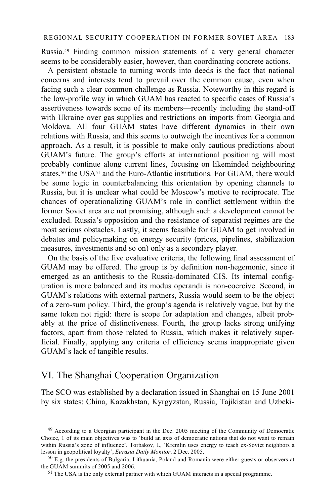Russia.49 Finding common mission statements of a very general character seems to be considerably easier, however, than coordinating concrete actions.

A persistent obstacle to turning words into deeds is the fact that national concerns and interests tend to prevail over the common cause, even when facing such a clear common challenge as Russia. Noteworthy in this regard is the low-profile way in which GUAM has reacted to specific cases of Russia's assertiveness towards some of its members—recently including the stand-off with Ukraine over gas supplies and restrictions on imports from Georgia and Moldova. All four GUAM states have different dynamics in their own relations with Russia, and this seems to outweigh the incentives for a common approach. As a result, it is possible to make only cautious predictions about GUAM's future. The group's efforts at international positioning will most probably continue along current lines, focusing on likeminded neighbouring states,<sup>50</sup> the USA $51$  and the Euro-Atlantic institutions. For GUAM, there would be some logic in counterbalancing this orientation by opening channels to Russia, but it is unclear what could be Moscow's motive to reciprocate. The chances of operationalizing GUAM's role in conflict settlement within the former Soviet area are not promising, although such a development cannot be excluded. Russia's opposition and the resistance of separatist regimes are the most serious obstacles. Lastly, it seems feasible for GUAM to get involved in debates and policymaking on energy security (prices, pipelines, stabilization measures, investments and so on) only as a secondary player.

On the basis of the five evaluative criteria, the following final assessment of GUAM may be offered. The group is by definition non-hegemonic, since it emerged as an antithesis to the Russia-dominated CIS. Its internal configuration is more balanced and its modus operandi is non-coercive. Second, in GUAM's relations with external partners, Russia would seem to be the object of a zero-sum policy. Third, the group's agenda is relatively vague, but by the same token not rigid: there is scope for adaptation and changes, albeit probably at the price of distinctiveness. Fourth, the group lacks strong unifying factors, apart from those related to Russia, which makes it relatively superficial. Finally, applying any criteria of efficiency seems inappropriate given GUAM's lack of tangible results.

# VI. The Shanghai Cooperation Organization

The SCO was established by a declaration issued in Shanghai on 15 June 2001 by six states: China, Kazakhstan, Kyrgyzstan, Russia, Tajikistan and Uzbeki-

<sup>&</sup>lt;sup>49</sup> According to a Georgian participant in the Dec. 2005 meeting of the Community of Democratic Choice, 1 of its main objectives was to 'build an axis of democratic nations that do not want to remain within Russia's zone of influence'. Torbakov, I., 'Kremlin uses energy to teach ex-Soviet neighbors a

lesson in geopolitical loyalty', *Eurasia Daily Monitor*, 2 Dec. 2005.<br><sup>50</sup> E.g. the presidents of Bulgaria, Lithuania, Poland and Romania were either guests or observers at the GUAM summits of 2005 and 2006.

 $51$  The USA is the only external partner with which GUAM interacts in a special programme.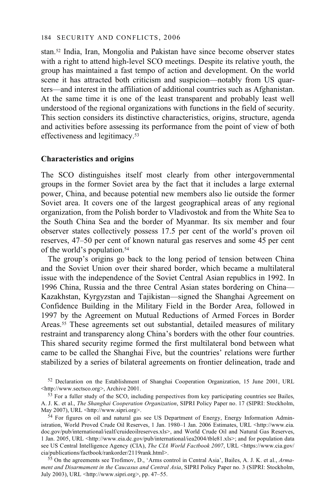stan.52 India, Iran, Mongolia and Pakistan have since become observer states with a right to attend high-level SCO meetings. Despite its relative youth, the group has maintained a fast tempo of action and development. On the world scene it has attracted both criticism and suspicion—notably from US quarters—and interest in the affiliation of additional countries such as Afghanistan. At the same time it is one of the least transparent and probably least well understood of the regional organizations with functions in the field of security. This section considers its distinctive characteristics, origins, structure, agenda and activities before assessing its performance from the point of view of both effectiveness and legitimacy.53

### **Characteristics and origins**

The SCO distinguishes itself most clearly from other intergovernmental groups in the former Soviet area by the fact that it includes a large external power, China, and because potential new members also lie outside the former Soviet area. It covers one of the largest geographical areas of any regional organization, from the Polish border to Vladivostok and from the White Sea to the South China Sea and the border of Myanmar. Its six member and four observer states collectively possess 17.5 per cent of the world's proven oil reserves, 47–50 per cent of known natural gas reserves and some 45 per cent of the world's population.54

The group's origins go back to the long period of tension between China and the Soviet Union over their shared border, which became a multilateral issue with the independence of the Soviet Central Asian republics in 1992. In 1996 China, Russia and the three Central Asian states bordering on China— Kazakhstan, Kyrgyzstan and Tajikistan—signed the Shanghai Agreement on Confidence Building in the Military Field in the Border Area, followed in 1997 by the Agreement on Mutual Reductions of Armed Forces in Border Areas.55 These agreements set out substantial, detailed measures of military restraint and transparency along China's borders with the other four countries. This shared security regime formed the first multilateral bond between what came to be called the Shanghai Five, but the countries' relations were further stabilized by a series of bilateral agreements on frontier delineation, trade and

<sup>52</sup> Declaration on the Establishment of Shanghai Cooperation Organization, 15 June 2001, URL <http://www.sectsco.org>, Archive 2001.

 $54$  For figures on oil and natural gas see US Department of Energy, Energy Information Administration, World Proved Crude Oil Reserves, 1 Jan. 1980–1 Jan. 2006 Estimates, URL <http://www.eia. doc.gov/pub/international/iealf/cruideoilreserves.xls>, and World Crude Oil and Natural Gas Reserves, 1 Jan. 2005, URL <http://www.eia.dc.gov/pub/international/iea2004/tble81.xls>; and for population data see US Central Intelligence Agency (CIA), *The CIA World Factbook 2007*, URL <https://www.cia.gov/ cia/publications/factbook/rankorder/2119rank.html>.

55 On the agreements see Trofimov, D., 'Arms control in Central Asia', Bailes, A. J. K. et al., *Armament and Disarmament in the Caucasus and Central Asia*, SIPRI Policy Paper no. 3 (SIPRI: Stockholm, July 2003), URL <http://www.sipri.org>, pp. 47–55.

 $53$  For a fuller study of the SCO, including perspectives from key participating countries see Bailes, A. J. K. et al., *The Shanghai Cooperation Organization*, SIPRI Policy Paper no. 17 (SIPRI: Stockholm,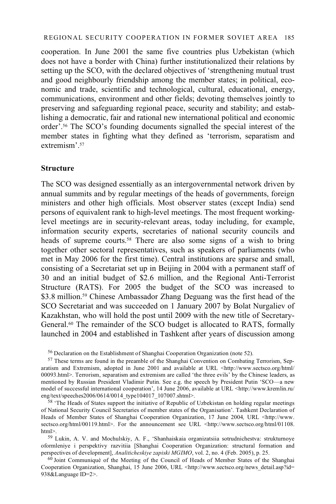cooperation. In June 2001 the same five countries plus Uzbekistan (which does not have a border with China) further institutionalized their relations by setting up the SCO, with the declared objectives of 'strengthening mutual trust and good neighbourly friendship among the member states; in political, economic and trade, scientific and technological, cultural, educational, energy, communications, environment and other fields; devoting themselves jointly to preserving and safeguarding regional peace, security and stability; and establishing a democratic, fair and rational new international political and economic order'.56 The SCO's founding documents signalled the special interest of the member states in fighting what they defined as 'terrorism, separatism and extremism' 57

#### **Structure**

The SCO was designed essentially as an intergovernmental network driven by annual summits and by regular meetings of the heads of governments, foreign ministers and other high officials. Most observer states (except India) send persons of equivalent rank to high-level meetings. The most frequent workinglevel meetings are in security-relevant areas, today including, for example, information security experts, secretaries of national security councils and heads of supreme courts.<sup>58</sup> There are also some signs of a wish to bring together other sectoral representatives, such as speakers of parliaments (who met in May 2006 for the first time). Central institutions are sparse and small, consisting of a Secretariat set up in Beijing in 2004 with a permanent staff of 30 and an initial budget of \$2.6 million, and the Regional Anti-Terrorist Structure (RATS). For 2005 the budget of the SCO was increased to \$3.8 million.<sup>59</sup> Chinese Ambassador Zhang Deguang was the first head of the SCO Secretariat and was succeeded on 1 January 2007 by Bolat Nurgaliev of Kazakhstan, who will hold the post until 2009 with the new title of Secretary-General.<sup>60</sup> The remainder of the SCO budget is allocated to RATS, formally launched in 2004 and established in Tashkent after years of discussion among

<sup>60</sup> Joint Communiqué of the Meeting of the Council of Heads of Member States of the Shanghai Cooperation Organization, Shanghai, 15 June 2006, URL <http://www.sectsco.org/news\_detail.asp?id= 938&Language ID=2>.

<sup>56</sup> Declaration on the Establishment of Shanghai Cooperation Organization (note 52).

<sup>&</sup>lt;sup>57</sup> These terms are found in the preamble of the Shanghai Convention on Combating Terrorism, Separatism and Extremism, adopted in June 2001 and available at URL <http://www.sectsco.org/html/ 00093.html>. Terrorism, separatism and extremism are called 'the three evils' by the Chinese leaders, as mentioned by Russian President Vladimir Putin. See e.g. the speech by President Putin 'SCO—a new model of successful international cooperation', 14 June 2006, available at URL <http://www.kremlin.ru/<br>eng/text/speeches2006/0614/0014 type104017 107007.shtml>.

<sup>&</sup>lt;sup>58</sup> 'The Heads of States support the initiative of Republic of Uzbekistan on holding regular meetings of National Security Council Secretaries of member states of the Organisation'. Tashkent Declaration of Heads of Member States of Shanghai Cooperation Organization, 17 June 2004, URL <http://www. sectsco.org/html/00119.html>. For the announcement see URL <http://www.sectsco.org/html/01108.html>.

<sup>59</sup> Lukin, A. V. and Mochulskiy, A. F., 'Shanhaiskaia organizatsiia sotrudnichestva: strukturnoye oformleniye i perspektivy razvitiia [Shanghai Cooperation Organization: structural formation and perspectives of development], *Analiticheskiye zapiski MGIMO*, vol. 2, no. 4 (Feb. 2005), p. 25.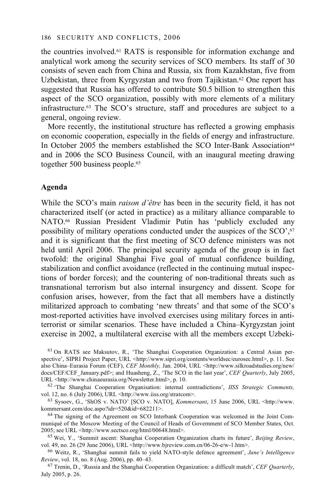the countries involved.61 RATS is responsible for information exchange and analytical work among the security services of SCO members. Its staff of 30 consists of seven each from China and Russia, six from Kazakhstan, five from Uzbekistan, three from Kyrgyzstan and two from Tajikistan.<sup>62</sup> One report has suggested that Russia has offered to contribute \$0.5 billion to strengthen this aspect of the SCO organization, possibly with more elements of a military infrastructure.63 The SCO's structure, staff and procedures are subject to a general, ongoing review.

More recently, the institutional structure has reflected a growing emphasis on economic cooperation, especially in the fields of energy and infrastructure. In October 2005 the members established the SCO Inter-Bank Association<sup>64</sup> and in 2006 the SCO Business Council, with an inaugural meeting drawing together 500 business people.<sup>65</sup>

#### **Agenda**

While the SCO's main *raison d'être* has been in the security field, it has not characterized itself (or acted in practice) as a military alliance comparable to NATO.66 Russian President Vladimir Putin has 'publicly excluded any possibility of military operations conducted under the auspices of the SCO',67 and it is significant that the first meeting of SCO defence ministers was not held until April 2006. The principal security agenda of the group is in fact twofold: the original Shanghai Five goal of mutual confidence building, stabilization and conflict avoidance (reflected in the continuing mutual inspections of border forces); and the countering of non-traditional threats such as transnational terrorism but also internal insurgency and dissent. Scope for confusion arises, however, from the fact that all members have a distinctly militarized approach to combating 'new threats' and that some of the SCO's most-reported activities have involved exercises using military forces in antiterrorist or similar scenarios. These have included a China–Kyrgyzstan joint exercise in 2002, a multilateral exercise with all the members except Uzbeki-

61 On RATS see Maksutov, R., 'The Shanghai Cooperation Organization: a Central Asian perspective', SIPRI Project Paper, URL <http://www.sipri.org/contents/worldsec/eurosec.html>, p. 11. See also China–Eurasia Forum (CEF), *CEF Monthly,* Jan. 2004, URL <http://www.silkroadstudies.org/new/ docs/CEF/CEF\_January.pdf>; and Huasheng, Z., 'The SCO in the last year', *CEF Quarterly*, July 2005, URL <http://www.chinaeurasia.org/Newsletter.html>, p. 10. 62 'The Shanghai Cooperation Organisation: internal contradictions', *IISS Strategic Comments,* 

vol. 12, no. 6 (July 2006), URL <http://www.iiss.org/stratcom>.<br>
<sup>63</sup> Sysoev, G., 'ShOS v. NATO' [SCO v. NATO], *Kommersant*, 15 June 2006, URL <http://www.<br>
kommersant.com/doc.aspo?idr=520&id=682211>.

<sup>64</sup> The signing of the Agreement on SCO Interbank Cooperation was welcomed in the Joint Communiqué of the Moscow Meeting of the Council of Heads of Government of SCO Member States, Oct. 2005; see URL <http://www.sectsco.org/html/00648.html>.

<sup>65</sup> Wei, Y., 'Summit ascent: Shanghai Cooperation Organization charts its future', *Beijing Review*,

vol. 49, no. 26 (29 June 2006), URL <http://www.bjreview.com.cn/06-26-e/w-1.htm>.<br><sup>66</sup> Weitz, R., 'Shanghai summit fails to yield NATO-style defence agreement', *Jane's Intelligence Review*, vol. 18, no. 8 (Aug. 2006), p

<sup>67</sup> Trenin, D., 'Russia and the Shanghai Cooperation Organization: a difficult match', *CEF Quarterly*, July 2005, p. 26.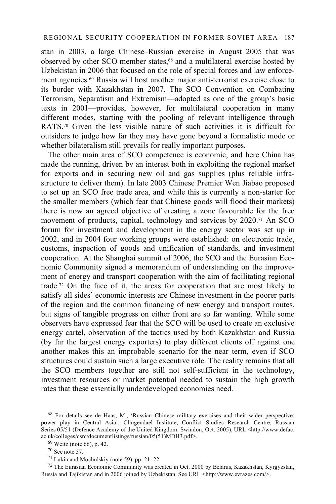stan in 2003, a large Chinese–Russian exercise in August 2005 that was observed by other SCO member states,68 and a multilateral exercise hosted by Uzbekistan in 2006 that focused on the role of special forces and law enforcement agencies.69 Russia will host another major anti-terrorist exercise close to its border with Kazakhstan in 2007. The SCO Convention on Combating Terrorism, Separatism and Extremism—adopted as one of the group's basic texts in 2001—provides, however, for multilateral cooperation in many different modes, starting with the pooling of relevant intelligence through RATS.<sup>70</sup> Given the less visible nature of such activities it is difficult for outsiders to judge how far they may have gone beyond a formalistic mode or whether bilateralism still prevails for really important purposes.

The other main area of SCO competence is economic, and here China has made the running, driven by an interest both in exploiting the regional market for exports and in securing new oil and gas supplies (plus reliable infrastructure to deliver them). In late 2003 Chinese Premier Wen Jiabao proposed to set up an SCO free trade area, and while this is currently a non-starter for the smaller members (which fear that Chinese goods will flood their markets) there is now an agreed objective of creating a zone favourable for the free movement of products, capital, technology and services by 2020.71 An SCO forum for investment and development in the energy sector was set up in 2002, and in 2004 four working groups were established: on electronic trade, customs, inspection of goods and unification of standards, and investment cooperation. At the Shanghai summit of 2006, the SCO and the Eurasian Economic Community signed a memorandum of understanding on the improvement of energy and transport cooperation with the aim of facilitating regional trade.72 On the face of it, the areas for cooperation that are most likely to satisfy all sides' economic interests are Chinese investment in the poorer parts of the region and the common financing of new energy and transport routes, but signs of tangible progress on either front are so far wanting. While some observers have expressed fear that the SCO will be used to create an exclusive energy cartel, observation of the tactics used by both Kazakhstan and Russia (by far the largest energy exporters) to play different clients off against one another makes this an improbable scenario for the near term, even if SCO structures could sustain such a large executive role. The reality remains that all the SCO members together are still not self-sufficient in the technology, investment resources or market potential needed to sustain the high growth rates that these essentially underdeveloped economies need.

72 The Eurasian Economic Community was created in Oct. 2000 by Belarus, Kazakhstan, Kyrgyzstan, Russia and Tajikistan and in 2006 joined by Uzbekistan. See URL <http://www.evrazes.com/>.

<sup>68</sup> For details see de Haas, M., 'Russian–Chinese military exercises and their wider perspective: power play in Central Asia', Clingendael Institute, Conflict Studies Research Centre, Russian Series 05/51 (Defence Academy of the United Kingdom: Swindon, Oct. 2005), URL <http://www.defac. ac.uk/colleges/csrc/documentlistings/russian/05(51)MDH3.pdf>.  $^{69}$  Weitz (note 66), p. 42.

<sup>70</sup> See note 57.

<sup>71</sup> Lukin and Mochulskiy (note 59), pp. 21–22.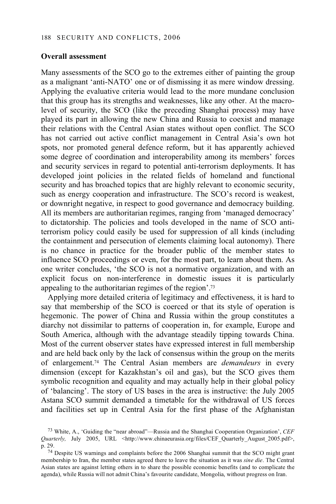#### **Overall assessment**

Many assessments of the SCO go to the extremes either of painting the group as a malignant 'anti-NATO' one or of dismissing it as mere window dressing. Applying the evaluative criteria would lead to the more mundane conclusion that this group has its strengths and weaknesses, like any other. At the macrolevel of security, the SCO (like the preceding Shanghai process) may have played its part in allowing the new China and Russia to coexist and manage their relations with the Central Asian states without open conflict. The SCO has not carried out active conflict management in Central Asia's own hot spots, nor promoted general defence reform, but it has apparently achieved some degree of coordination and interoperability among its members' forces and security services in regard to potential anti-terrorism deployments. It has developed joint policies in the related fields of homeland and functional security and has broached topics that are highly relevant to economic security, such as energy cooperation and infrastructure. The SCO's record is weakest, or downright negative, in respect to good governance and democracy building. All its members are authoritarian regimes, ranging from 'managed democracy' to dictatorship. The policies and tools developed in the name of SCO antiterrorism policy could easily be used for suppression of all kinds (including the containment and persecution of elements claiming local autonomy). There is no chance in practice for the broader public of the member states to influence SCO proceedings or even, for the most part, to learn about them. As one writer concludes, 'the SCO is not a normative organization, and with an explicit focus on non-interference in domestic issues it is particularly appealing to the authoritarian regimes of the region'.73

Applying more detailed criteria of legitimacy and effectiveness, it is hard to say that membership of the SCO is coerced or that its style of operation is hegemonic. The power of China and Russia within the group constitutes a diarchy not dissimilar to patterns of cooperation in, for example, Europe and South America, although with the advantage steadily tipping towards China. Most of the current observer states have expressed interest in full membership and are held back only by the lack of consensus within the group on the merits of enlargement.74 The Central Asian members are *demandeurs* in every dimension (except for Kazakhstan's oil and gas), but the SCO gives them symbolic recognition and equality and may actually help in their global policy of 'balancing'. The story of US bases in the area is instructive: the July 2005 Astana SCO summit demanded a timetable for the withdrawal of US forces and facilities set up in Central Asia for the first phase of the Afghanistan

<sup>73</sup> White, A., 'Guiding the "near abroad"—Russia and the Shanghai Cooperation Organization', *CEF Quarterly,* July 2005, URL <http://www.chinaeurasia.org/files/CEF Quarterly August 2005.pdf>, p. 29. 74 Despite US warnings and complaints before the 2006 Shanghai summit that the SCO might grant

membership to Iran, the member states agreed there to leave the situation as it was *sine die*. The Central Asian states are against letting others in to share the possible economic benefits (and to complicate the agenda), while Russia will not admit China's favourite candidate, Mongolia, without progress on Iran.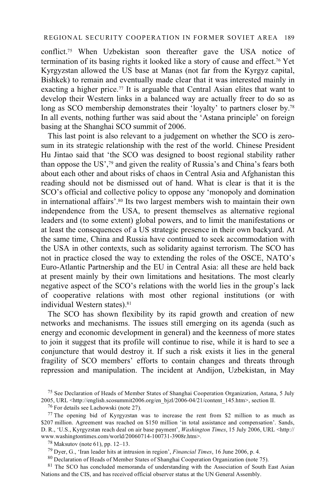conflict.75 When Uzbekistan soon thereafter gave the USA notice of termination of its basing rights it looked like a story of cause and effect.76 Yet Kyrgyzstan allowed the US base at Manas (not far from the Kyrgyz capital, Bishkek) to remain and eventually made clear that it was interested mainly in exacting a higher price.<sup>77</sup> It is arguable that Central Asian elites that want to develop their Western links in a balanced way are actually freer to do so as long as SCO membership demonstrates their 'loyalty' to partners closer by.<sup>78</sup> In all events, nothing further was said about the 'Astana principle' on foreign basing at the Shanghai SCO summit of 2006.

This last point is also relevant to a judgement on whether the SCO is zerosum in its strategic relationship with the rest of the world. Chinese President Hu Jintao said that 'the SCO was designed to boost regional stability rather than oppose the US',79 and given the reality of Russia's and China's fears both about each other and about risks of chaos in Central Asia and Afghanistan this reading should not be dismissed out of hand. What is clear is that it is the SCO's official and collective policy to oppose any 'monopoly and domination in international affairs'.80 Its two largest members wish to maintain their own independence from the USA, to present themselves as alternative regional leaders and (to some extent) global powers, and to limit the manifestations or at least the consequences of a US strategic presence in their own backyard. At the same time, China and Russia have continued to seek accommodation with the USA in other contexts, such as solidarity against terrorism. The SCO has not in practice closed the way to extending the roles of the OSCE, NATO's Euro-Atlantic Partnership and the EU in Central Asia: all these are held back at present mainly by their own limitations and hesitations. The most clearly negative aspect of the SCO's relations with the world lies in the group's lack of cooperative relations with most other regional institutions (or with individual Western states).<sup>81</sup>

The SCO has shown flexibility by its rapid growth and creation of new networks and mechanisms. The issues still emerging on its agenda (such as energy and economic development in general) and the keenness of more states to join it suggest that its profile will continue to rise, while it is hard to see a conjuncture that would destroy it. If such a risk exists it lies in the general fragility of SCO members' efforts to contain changes and threats through repression and manipulation. The incident at Andijon, Uzbekistan, in May

79 Dyer, G., 'Iran leader hits at intrusion in region', *Financial Times*, 16 June 2006, p. 4. 80 Declaration of Heads of Member States of Shanghai Cooperation Organization (note 75).

<sup>81</sup> The SCO has concluded memoranda of understanding with the Association of South East Asian Nations and the CIS, and has received official observer status at the UN General Assembly.

<sup>75</sup> See Declaration of Heads of Member States of Shanghai Cooperation Organization, Astana, 5 July 2005, URL <http://english.scosummit2006.org/en\_bjzl/2006-04/21/content\_145.htm>, section II. 76 For details see Lachowski (note 27).

<sup>77</sup> The opening bid of Kyrgyzstan was to increase the rent from \$2 million to as much as \$207 million. Agreement was reached on \$150 million 'in total assistance and compensation'. Sands, D. R., 'U.S., Kyrgyzstan reach deal on air base payment', *Washington Times*, 15 July 2006, URL <http:// www.washingtontimes.com/world/20060714-100731-3908r.htm>. 78 Maksutov (note 61), pp. 12–13.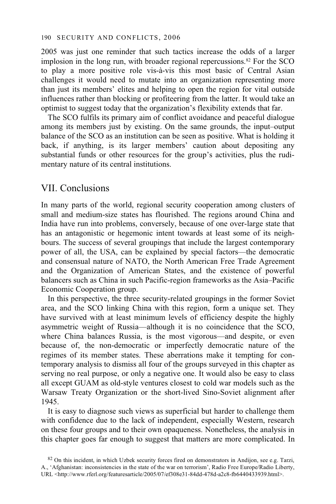2005 was just one reminder that such tactics increase the odds of a larger implosion in the long run, with broader regional repercussions.82 For the SCO to play a more positive role vis-à-vis this most basic of Central Asian challenges it would need to mutate into an organization representing more than just its members' elites and helping to open the region for vital outside influences rather than blocking or profiteering from the latter. It would take an optimist to suggest today that the organization's flexibility extends that far.

The SCO fulfils its primary aim of conflict avoidance and peaceful dialogue among its members just by existing. On the same grounds, the input–output balance of the SCO as an institution can be seen as positive. What is holding it back, if anything, is its larger members' caution about depositing any substantial funds or other resources for the group's activities, plus the rudimentary nature of its central institutions.

# VII. Conclusions

In many parts of the world, regional security cooperation among clusters of small and medium-size states has flourished. The regions around China and India have run into problems, conversely, because of one over-large state that has an antagonistic or hegemonic intent towards at least some of its neighbours. The success of several groupings that include the largest contemporary power of all, the USA, can be explained by special factors—the democratic and consensual nature of NATO, the North American Free Trade Agreement and the Organization of American States, and the existence of powerful balancers such as China in such Pacific-region frameworks as the Asia–Pacific Economic Cooperation group.

In this perspective, the three security-related groupings in the former Soviet area, and the SCO linking China with this region, form a unique set. They have survived with at least minimum levels of efficiency despite the highly asymmetric weight of Russia—although it is no coincidence that the SCO, where China balances Russia, is the most vigorous—and despite, or even because of, the non-democratic or imperfectly democratic nature of the regimes of its member states. These aberrations make it tempting for contemporary analysis to dismiss all four of the groups surveyed in this chapter as serving no real purpose, or only a negative one. It would also be easy to class all except GUAM as old-style ventures closest to cold war models such as the Warsaw Treaty Organization or the short-lived Sino-Soviet alignment after 1945.

It is easy to diagnose such views as superficial but harder to challenge them with confidence due to the lack of independent, especially Western, research on these four groups and to their own opaqueness. Nonetheless, the analysis in this chapter goes far enough to suggest that matters are more complicated. In

 $82$  On this incident, in which Uzbek security forces fired on demonstrators in Andijon, see e.g. Tarzi, A., 'Afghanistan: inconsistencies in the state of the war on terrorism', Radio Free Europe/Radio Liberty, URL <http://www.rferl.org/featuresarticle/2005/07/ef308e31-84dd-478d-a2c8-fb6440433939.html>.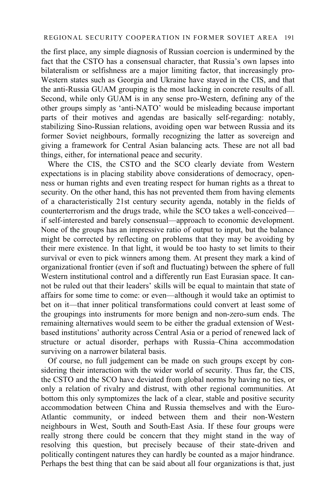the first place, any simple diagnosis of Russian coercion is undermined by the fact that the CSTO has a consensual character, that Russia's own lapses into bilateralism or selfishness are a major limiting factor, that increasingly pro-Western states such as Georgia and Ukraine have stayed in the CIS, and that the anti-Russia GUAM grouping is the most lacking in concrete results of all. Second, while only GUAM is in any sense pro-Western, defining any of the other groups simply as 'anti-NATO' would be misleading because important parts of their motives and agendas are basically self-regarding: notably, stabilizing Sino-Russian relations, avoiding open war between Russia and its former Soviet neighbours, formally recognizing the latter as sovereign and giving a framework for Central Asian balancing acts. These are not all bad things, either, for international peace and security.

Where the CIS, the CSTO and the SCO clearly deviate from Western expectations is in placing stability above considerations of democracy, openness or human rights and even treating respect for human rights as a threat to security. On the other hand, this has not prevented them from having elements of a characteristically 21st century security agenda, notably in the fields of counterterrorism and the drugs trade, while the SCO takes a well-conceived if self-interested and barely consensual—approach to economic development. None of the groups has an impressive ratio of output to input, but the balance might be corrected by reflecting on problems that they may be avoiding by their mere existence. In that light, it would be too hasty to set limits to their survival or even to pick winners among them. At present they mark a kind of organizational frontier (even if soft and fluctuating) between the sphere of full Western institutional control and a differently run East Eurasian space. It cannot be ruled out that their leaders' skills will be equal to maintain that state of affairs for some time to come: or even—although it would take an optimist to bet on it—that inner political transformations could convert at least some of the groupings into instruments for more benign and non-zero-sum ends. The remaining alternatives would seem to be either the gradual extension of Westbased institutions' authority across Central Asia or a period of renewed lack of structure or actual disorder, perhaps with Russia–China accommodation surviving on a narrower bilateral basis.

Of course, no full judgement can be made on such groups except by considering their interaction with the wider world of security. Thus far, the CIS, the CSTO and the SCO have deviated from global norms by having no ties, or only a relation of rivalry and distrust, with other regional communities. At bottom this only symptomizes the lack of a clear, stable and positive security accommodation between China and Russia themselves and with the Euro-Atlantic community, or indeed between them and their non-Western neighbours in West, South and South-East Asia. If these four groups were really strong there could be concern that they might stand in the way of resolving this question, but precisely because of their state-driven and politically contingent natures they can hardly be counted as a major hindrance. Perhaps the best thing that can be said about all four organizations is that, just